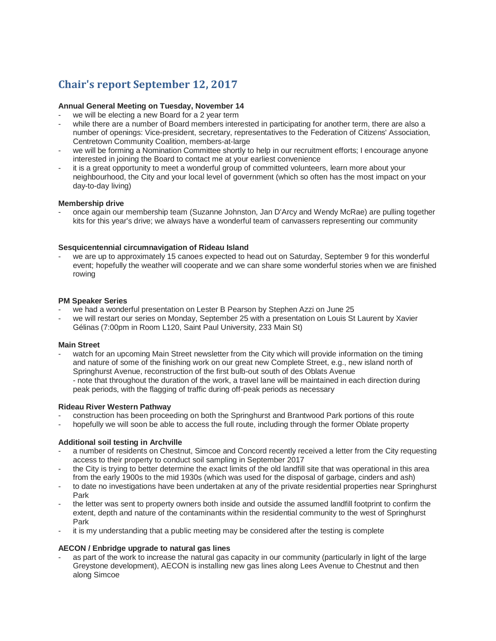# **Chair's report September 12, 2017**

## **Annual General Meeting on Tuesday, November 14**

- we will be electing a new Board for a 2 year term
- while there are a number of Board members interested in participating for another term, there are also a number of openings: Vice-president, secretary, representatives to the Federation of Citizens' Association, Centretown Community Coalition, members-at-large
- we will be forming a Nomination Committee shortly to help in our recruitment efforts; I encourage anyone interested in joining the Board to contact me at your earliest convenience
- it is a great opportunity to meet a wonderful group of committed volunteers, learn more about your neighbourhood, the City and your local level of government (which so often has the most impact on your day-to-day living)

## **Membership drive**

- once again our membership team (Suzanne Johnston, Jan D'Arcy and Wendy McRae) are pulling together kits for this year's drive; we always have a wonderful team of canvassers representing our community

# **Sesquicentennial circumnavigation of Rideau Island**

we are up to approximately 15 canoes expected to head out on Saturday, September 9 for this wonderful event; hopefully the weather will cooperate and we can share some wonderful stories when we are finished rowing

## **PM Speaker Series**

- we had a wonderful presentation on Lester B Pearson by Stephen Azzi on June 25
- we will restart our series on Monday, September 25 with a presentation on Louis St Laurent by Xavier Gélinas (7:00pm in Room L120, Saint Paul University, 233 Main St)

# **Main Street**

watch for an upcoming Main Street newsletter from the City which will provide information on the timing and nature of some of the finishing work on our great new Complete Street, e.g., new island north of Springhurst Avenue, reconstruction of the first bulb-out south of des Oblats Avenue - note that throughout the duration of the work, a travel lane will be maintained in each direction during peak periods, with the flagging of traffic during off-peak periods as necessary

#### **Rideau River Western Pathway**

- construction has been proceeding on both the Springhurst and Brantwood Park portions of this route
- hopefully we will soon be able to access the full route, including through the former Oblate property

# **Additional soil testing in Archville**

- a number of residents on Chestnut, Simcoe and Concord recently received a letter from the City requesting access to their property to conduct soil sampling in September 2017
- the City is trying to better determine the exact limits of the old landfill site that was operational in this area from the early 1900s to the mid 1930s (which was used for the disposal of garbage, cinders and ash)
- to date no investigations have been undertaken at any of the private residential properties near Springhurst Park
- the letter was sent to property owners both inside and outside the assumed landfill footprint to confirm the extent, depth and nature of the contaminants within the residential community to the west of Springhurst Park
- it is my understanding that a public meeting may be considered after the testing is complete

# **AECON / Enbridge upgrade to natural gas lines**

as part of the work to increase the natural gas capacity in our community (particularly in light of the large Greystone development), AECON is installing new gas lines along Lees Avenue to Chestnut and then along Simcoe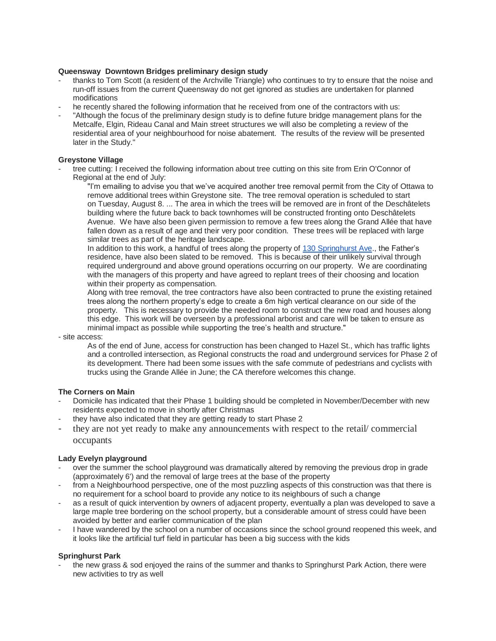## **Queensway Downtown Bridges preliminary design study**

- thanks to Tom Scott (a resident of the Archville Triangle) who continues to try to ensure that the noise and run-off issues from the current Queensway do not get ignored as studies are undertaken for planned modifications
- he recently shared the following information that he received from one of the contractors with us:
- "Although the focus of the preliminary design study is to define future bridge management plans for the Metcalfe, Elgin, Rideau Canal and Main street structures we will also be completing a review of the residential area of your neighbourhood for noise abatement. The results of the review will be presented later in the Study."

#### **Greystone Village**

- tree cutting: I received the following information about tree cutting on this site from Erin O'Connor of Regional at the end of July:
	- "I'm emailing to advise you that we've acquired another tree removal permit from the City of Ottawa to remove additional trees within Greystone site. The tree removal operation is scheduled to start on Tuesday, August 8. ... The area in which the trees will be removed are in front of the Deschâtelets building where the future back to back townhomes will be constructed fronting onto Deschâtelets Avenue. We have also been given permission to remove a few trees along the Grand Allée that have fallen down as a result of age and their very poor condition. These trees will be replaced with large similar trees as part of the heritage landscape.

In addition to this work, a handful of trees along the property of [130 Springhurst Ave.](https://maps.google.com/?q=130+Springhurst+Ave&entry=gmail&source=g), the Father's residence, have also been slated to be removed. This is because of their unlikely survival through required underground and above ground operations occurring on our property. We are coordinating with the managers of this property and have agreed to replant trees of their choosing and location within their property as compensation.

Along with tree removal, the tree contractors have also been contracted to prune the existing retained trees along the northern property's edge to create a 6m high vertical clearance on our side of the property. This is necessary to provide the needed room to construct the new road and houses along this edge. This work will be overseen by a professional arborist and care will be taken to ensure as minimal impact as possible while supporting the tree's health and structure."

- site access:

As of the end of June, access for construction has been changed to Hazel St., which has traffic lights and a controlled intersection, as Regional constructs the road and underground services for Phase 2 of its development. There had been some issues with the safe commute of pedestrians and cyclists with trucks using the Grande Allée in June; the CA therefore welcomes this change.

# **The Corners on Main**

- Domicile has indicated that their Phase 1 building should be completed in November/December with new residents expected to move in shortly after Christmas
- they have also indicated that they are getting ready to start Phase 2
- they are not yet ready to make any announcements with respect to the retail/ commercial occupants

# **Lady Evelyn playground**

- over the summer the school playground was dramatically altered by removing the previous drop in grade (approximately 6') and the removal of large trees at the base of the property
- from a Neighbourhood perspective, one of the most puzzling aspects of this construction was that there is no requirement for a school board to provide any notice to its neighbours of such a change
- as a result of quick intervention by owners of adjacent property, eventually a plan was developed to save a large maple tree bordering on the school property, but a considerable amount of stress could have been avoided by better and earlier communication of the plan
- I have wandered by the school on a number of occasions since the school ground reopened this week, and it looks like the artificial turf field in particular has been a big success with the kids

# **Springhurst Park**

the new grass & sod enjoyed the rains of the summer and thanks to Springhurst Park Action, there were new activities to try as well